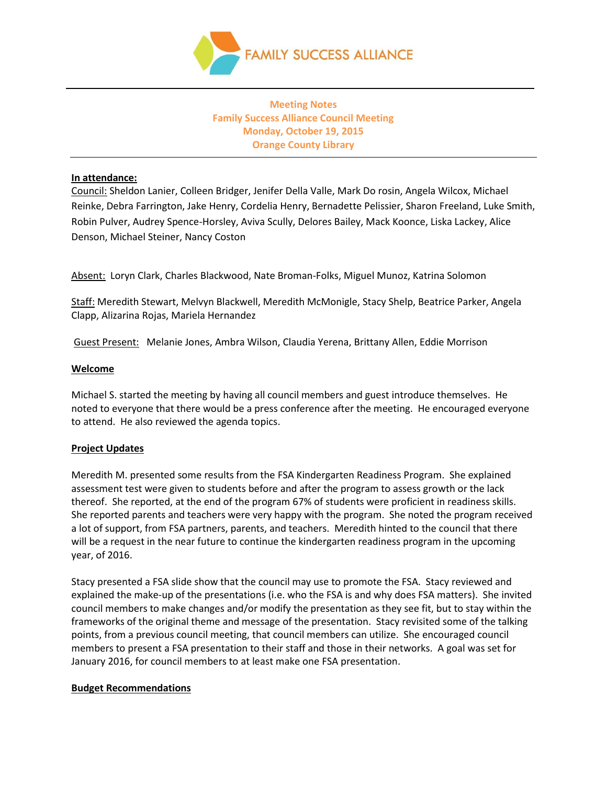

# **Meeting Notes Family Success Alliance Council Meeting Monday, October 19, 2015 Orange County Library**

#### **In attendance:**

Council: Sheldon Lanier, Colleen Bridger, Jenifer Della Valle, Mark Do rosin, Angela Wilcox, Michael Reinke, Debra Farrington, Jake Henry, Cordelia Henry, Bernadette Pelissier, Sharon Freeland, Luke Smith, Robin Pulver, Audrey Spence-Horsley, Aviva Scully, Delores Bailey, Mack Koonce, Liska Lackey, Alice Denson, Michael Steiner, Nancy Coston

Absent: Loryn Clark, Charles Blackwood, Nate Broman-Folks, Miguel Munoz, Katrina Solomon

Staff: Meredith Stewart, Melvyn Blackwell, Meredith McMonigle, Stacy Shelp, Beatrice Parker, Angela Clapp, Alizarina Rojas, Mariela Hernandez

Guest Present: Melanie Jones, Ambra Wilson, Claudia Yerena, Brittany Allen, Eddie Morrison

#### **Welcome**

Michael S. started the meeting by having all council members and guest introduce themselves. He noted to everyone that there would be a press conference after the meeting. He encouraged everyone to attend. He also reviewed the agenda topics.

# **Project Updates**

Meredith M. presented some results from the FSA Kindergarten Readiness Program. She explained assessment test were given to students before and after the program to assess growth or the lack thereof. She reported, at the end of the program 67% of students were proficient in readiness skills. She reported parents and teachers were very happy with the program. She noted the program received a lot of support, from FSA partners, parents, and teachers. Meredith hinted to the council that there will be a request in the near future to continue the kindergarten readiness program in the upcoming year, of 2016.

Stacy presented a FSA slide show that the council may use to promote the FSA. Stacy reviewed and explained the make-up of the presentations (i.e. who the FSA is and why does FSA matters). She invited council members to make changes and/or modify the presentation as they see fit, but to stay within the frameworks of the original theme and message of the presentation. Stacy revisited some of the talking points, from a previous council meeting, that council members can utilize. She encouraged council members to present a FSA presentation to their staff and those in their networks. A goal was set for January 2016, for council members to at least make one FSA presentation.

#### **Budget Recommendations**